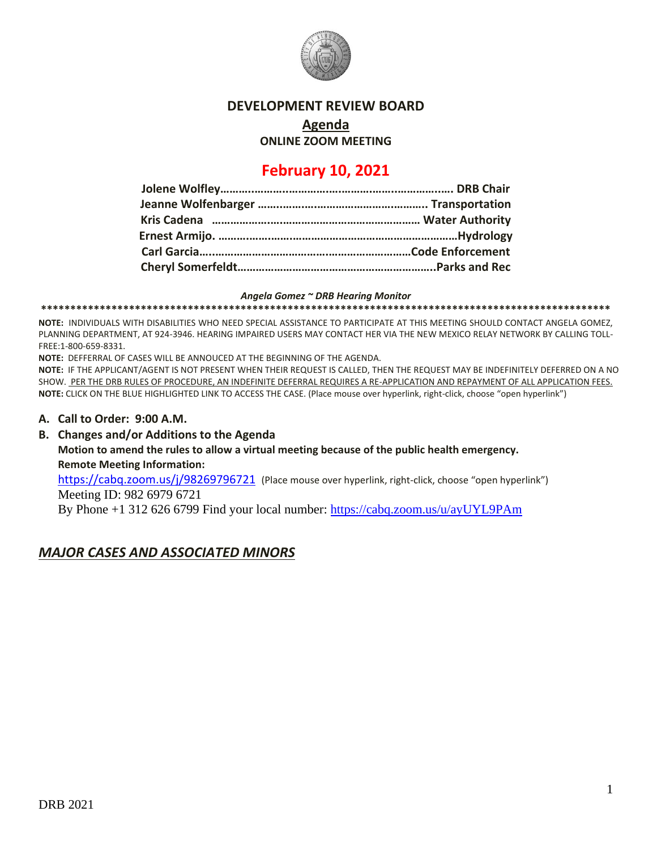

### **DEVELOPMENT REVIEW BOARD**

**Agenda**

**ONLINE ZOOM MEETING**

# **February 10, 2021**

#### *Angela Gomez ~ DRB Hearing Monitor*

**\*\*\*\*\*\*\*\*\*\*\*\*\*\*\*\*\*\*\*\*\*\*\*\*\*\*\*\*\*\*\*\*\*\*\*\*\*\*\*\*\*\*\*\*\*\*\*\*\*\*\*\*\*\*\*\*\*\*\*\*\*\*\*\*\*\*\*\*\*\*\*\*\*\*\*\*\*\*\*\*\*\*\*\*\*\*\*\*\*\*\*\*\*\*\*\*\***

**NOTE:** INDIVIDUALS WITH DISABILITIES WHO NEED SPECIAL ASSISTANCE TO PARTICIPATE AT THIS MEETING SHOULD CONTACT ANGELA GOMEZ, PLANNING DEPARTMENT, AT 924-3946. HEARING IMPAIRED USERS MAY CONTACT HER VIA THE NEW MEXICO RELAY NETWORK BY CALLING TOLL-FREE:1-800-659-8331.

**NOTE:** DEFFERRAL OF CASES WILL BE ANNOUCED AT THE BEGINNING OF THE AGENDA.

**NOTE:** IF THE APPLICANT/AGENT IS NOT PRESENT WHEN THEIR REQUEST IS CALLED, THEN THE REQUEST MAY BE INDEFINITELY DEFERRED ON A NO SHOW. PER THE DRB RULES OF PROCEDURE, AN INDEFINITE DEFERRAL REQUIRES A RE-APPLICATION AND REPAYMENT OF ALL APPLICATION FEES. **NOTE:** CLICK ON THE BLUE HIGHLIGHTED LINK TO ACCESS THE CASE. (Place mouse over hyperlink, right-click, choose "open hyperlink")

- **A. Call to Order: 9:00 A.M.**
- **B. Changes and/or Additions to the Agenda Motion to amend the rules to allow a virtual meeting because of the public health emergency. Remote Meeting Information:**

<https://cabq.zoom.us/j/98269796721></u> (Place mouse over hyperlink, right-click, choose "open hyperlink") Meeting ID: 982 6979 6721

By Phone +1 312 626 6799 Find your local number:<https://cabq.zoom.us/u/ayUYL9PAm>

# *MAJOR CASES AND ASSOCIATED MINORS*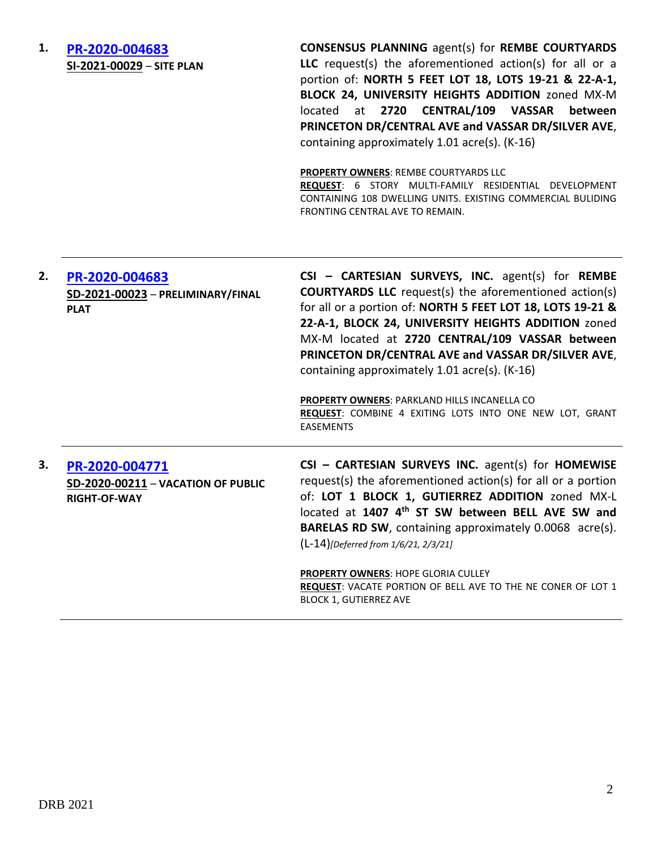| 1. | PR-2020-004683<br>SI-2021-00029 - SITE PLAN                                 | <b>CONSENSUS PLANNING agent(s) for REMBE COURTYARDS</b><br>LLC request(s) the aforementioned action(s) for all or a<br>portion of: NORTH 5 FEET LOT 18, LOTS 19-21 & 22-A-1,<br>BLOCK 24, UNIVERSITY HEIGHTS ADDITION zoned MX-M<br>at 2720 CENTRAL/109 VASSAR<br>located<br>between<br>PRINCETON DR/CENTRAL AVE and VASSAR DR/SILVER AVE,<br>containing approximately 1.01 acre(s). (K-16)<br>PROPERTY OWNERS: REMBE COURTYARDS LLC<br>REQUEST: 6 STORY MULTI-FAMILY RESIDENTIAL DEVELOPMENT<br>CONTAINING 108 DWELLING UNITS. EXISTING COMMERCIAL BULIDING<br>FRONTING CENTRAL AVE TO REMAIN. |
|----|-----------------------------------------------------------------------------|-------------------------------------------------------------------------------------------------------------------------------------------------------------------------------------------------------------------------------------------------------------------------------------------------------------------------------------------------------------------------------------------------------------------------------------------------------------------------------------------------------------------------------------------------------------------------------------------------|
| 2. | PR-2020-004683<br>SD-2021-00023 - PRELIMINARY/FINAL<br><b>PLAT</b>          | CSI - CARTESIAN SURVEYS, INC. agent(s) for REMBE<br><b>COURTYARDS LLC</b> request(s) the aforementioned action(s)<br>for all or a portion of: NORTH 5 FEET LOT 18, LOTS 19-21 &<br>22-A-1, BLOCK 24, UNIVERSITY HEIGHTS ADDITION zoned<br>MX-M located at 2720 CENTRAL/109 VASSAR between<br>PRINCETON DR/CENTRAL AVE and VASSAR DR/SILVER AVE,<br>containing approximately 1.01 acre(s). (K-16)<br>PROPERTY OWNERS: PARKLAND HILLS INCANELLA CO<br>REQUEST: COMBINE 4 EXITING LOTS INTO ONE NEW LOT, GRANT<br><b>EASEMENTS</b>                                                                 |
| 3. | PR-2020-004771<br>SD-2020-00211 - VACATION OF PUBLIC<br><b>RIGHT-OF-WAY</b> | CSI - CARTESIAN SURVEYS INC. agent(s) for HOMEWISE<br>request(s) the aforementioned action(s) for all or a portion<br>of: LOT 1 BLOCK 1, GUTIERREZ ADDITION zoned MX-L<br>located at 1407 4 <sup>th</sup> ST SW between BELL AVE SW and<br>BARELAS RD SW, containing approximately 0.0068 acre(s).<br>(L-14)[Deferred from 1/6/21, 2/3/21]<br><b>PROPERTY OWNERS: HOPE GLORIA CULLEY</b><br>REQUEST: VACATE PORTION OF BELL AVE TO THE NE CONER OF LOT 1<br><b>BLOCK 1, GUTIERREZ AVE</b>                                                                                                       |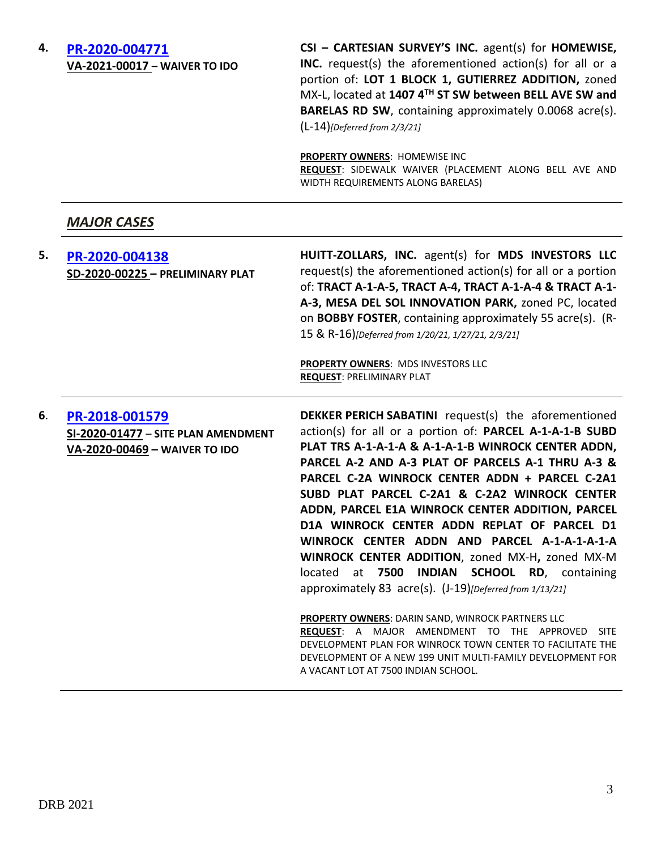### **4. [PR-2020-004771](http://data.cabq.gov/government/planning/DRB/PR-2020-004771/DRB%20Submittals/) VA-2021-00017 – WAIVER TO IDO**

**CSI – CARTESIAN SURVEY'S INC.** agent(s) for **HOMEWISE, INC.** request(s) the aforementioned action(s) for all or a portion of: **LOT 1 BLOCK 1, GUTIERREZ ADDITION,** zoned MX-L, located at **1407 4TH ST SW between BELL AVE SW and BARELAS RD SW**, containing approximately 0.0068 acre(s). (L-14)*[Deferred from 2/3/21]*

**PROPERTY OWNERS**: HOMEWISE INC **REQUEST**: SIDEWALK WAIVER (PLACEMENT ALONG BELL AVE AND WIDTH REQUIREMENTS ALONG BARELAS)

# *MAJOR CASES*

| 5. | PR-2020-004138<br>SD-2020-00225 - PRELIMINARY PLAT                                     | HUITT-ZOLLARS, INC. agent(s) for MDS INVESTORS LLC<br>request(s) the aforementioned action(s) for all or a portion<br>of: TRACT A-1-A-5, TRACT A-4, TRACT A-1-A-4 & TRACT A-1-<br>A-3, MESA DEL SOL INNOVATION PARK, zoned PC, located<br>on BOBBY FOSTER, containing approximately 55 acre(s). (R-<br>15 & R-16)[Deferred from 1/20/21, 1/27/21, 2/3/21]<br>PROPERTY OWNERS: MDS INVESTORS LLC<br><b>REQUEST: PRELIMINARY PLAT</b>                                                                                                                                                                                                                                                                                                                                                                                                                                                                                              |
|----|----------------------------------------------------------------------------------------|----------------------------------------------------------------------------------------------------------------------------------------------------------------------------------------------------------------------------------------------------------------------------------------------------------------------------------------------------------------------------------------------------------------------------------------------------------------------------------------------------------------------------------------------------------------------------------------------------------------------------------------------------------------------------------------------------------------------------------------------------------------------------------------------------------------------------------------------------------------------------------------------------------------------------------|
| 6. | PR-2018-001579<br>SI-2020-01477 - SITE PLAN AMENDMENT<br>VA-2020-00469 - WAIVER TO IDO | <b>DEKKER PERICH SABATINI</b> request(s) the aforementioned<br>action(s) for all or a portion of: PARCEL A-1-A-1-B SUBD<br>PLAT TRS A-1-A-1-A & A-1-A-1-B WINROCK CENTER ADDN,<br>PARCEL A-2 AND A-3 PLAT OF PARCELS A-1 THRU A-3 &<br>PARCEL C-2A WINROCK CENTER ADDN + PARCEL C-2A1<br>SUBD PLAT PARCEL C-2A1 & C-2A2 WINROCK CENTER<br>ADDN, PARCEL E1A WINROCK CENTER ADDITION, PARCEL<br>D1A WINROCK CENTER ADDN REPLAT OF PARCEL D1<br>WINROCK CENTER ADDN AND PARCEL A-1-A-1-A-1-A<br>WINROCK CENTER ADDITION, zoned MX-H, zoned MX-M<br><b>INDIAN</b><br><b>SCHOOL RD, containing</b><br>located<br>at<br>7500<br>approximately 83 acre(s). (J-19) [Deferred from 1/13/21]<br>PROPERTY OWNERS: DARIN SAND, WINROCK PARTNERS LLC<br>REQUEST: A MAJOR AMENDMENT TO THE APPROVED<br><b>SITE</b><br>DEVELOPMENT PLAN FOR WINROCK TOWN CENTER TO FACILITATE THE<br>DEVELOPMENT OF A NEW 199 UNIT MULTI-FAMILY DEVELOPMENT FOR |

A VACANT LOT AT 7500 INDIAN SCHOOL.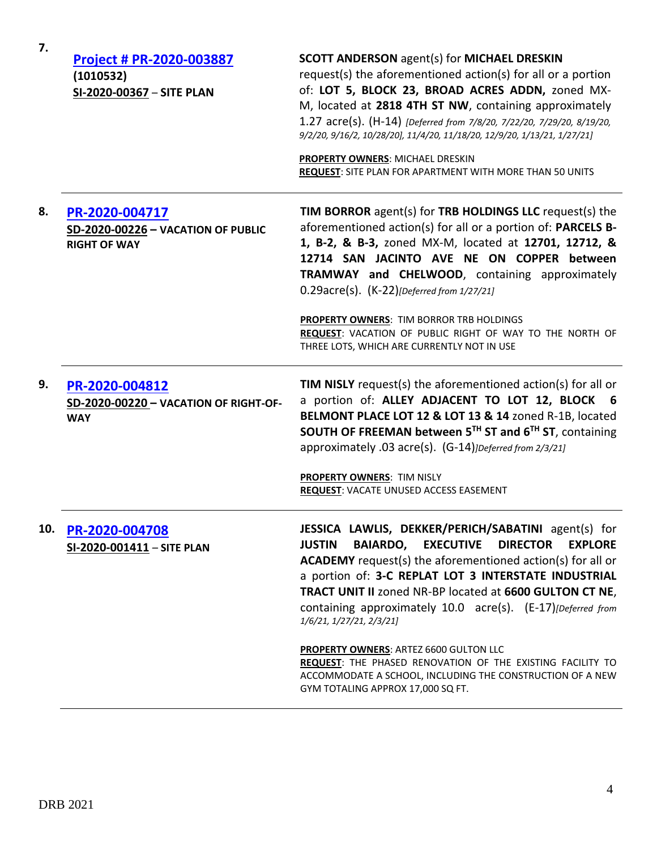| 7.  | Project # PR-2020-003887<br>(1010532)<br>SI-2020-00367 - SITE PLAN          | <b>SCOTT ANDERSON agent(s) for MICHAEL DRESKIN</b><br>request(s) the aforementioned action(s) for all or a portion<br>of: LOT 5, BLOCK 23, BROAD ACRES ADDN, zoned MX-<br>M, located at 2818 4TH ST NW, containing approximately<br>1.27 acre(s). (H-14) [Deferred from 7/8/20, 7/22/20, 7/29/20, 8/19/20,<br>9/2/20, 9/16/2, 10/28/20], 11/4/20, 11/18/20, 12/9/20, 1/13/21, 1/27/21]<br>PROPERTY OWNERS: MICHAEL DRESKIN<br>REQUEST: SITE PLAN FOR APARTMENT WITH MORE THAN 50 UNITS |
|-----|-----------------------------------------------------------------------------|----------------------------------------------------------------------------------------------------------------------------------------------------------------------------------------------------------------------------------------------------------------------------------------------------------------------------------------------------------------------------------------------------------------------------------------------------------------------------------------|
| 8.  | PR-2020-004717<br>SD-2020-00226 - VACATION OF PUBLIC<br><b>RIGHT OF WAY</b> | <b>TIM BORROR</b> agent(s) for <b>TRB HOLDINGS LLC</b> request(s) the<br>aforementioned action(s) for all or a portion of: PARCELS B-<br>1, B-2, & B-3, zoned MX-M, located at 12701, 12712, &<br>12714 SAN JACINTO AVE NE ON COPPER between<br>TRAMWAY and CHELWOOD, containing approximately<br>0.29acre(s). (K-22)[Deferred from 1/27/21]                                                                                                                                           |
|     |                                                                             | PROPERTY OWNERS: TIM BORROR TRB HOLDINGS<br>REQUEST: VACATION OF PUBLIC RIGHT OF WAY TO THE NORTH OF<br>THREE LOTS, WHICH ARE CURRENTLY NOT IN USE                                                                                                                                                                                                                                                                                                                                     |
| 9.  | PR-2020-004812<br>SD-2020-00220 - VACATION OF RIGHT-OF-<br><b>WAY</b>       | <b>TIM NISLY</b> request(s) the aforementioned action(s) for all or<br>a portion of: ALLEY ADJACENT TO LOT 12, BLOCK 6<br>BELMONT PLACE LOT 12 & LOT 13 & 14 zoned R-1B, located<br>SOUTH OF FREEMAN between 5TH ST and 6TH ST, containing<br>approximately .03 acre(s). (G-14) <i>JDeferred from 2/3/21</i> ]                                                                                                                                                                         |
|     |                                                                             | <b>PROPERTY OWNERS: TIM NISLY</b><br>REQUEST: VACATE UNUSED ACCESS EASEMENT                                                                                                                                                                                                                                                                                                                                                                                                            |
| 10. | PR-2020-004708<br>$SL-2020-001411 - SITE PLAN$                              | JESSICA LAWLIS, DEKKER/PERICH/SABATINI agent(s) for<br>BAIARDO, EXECUTIVE DIRECTOR<br><b>EXPLORE</b><br><b>JUSTIN</b><br><b>ACADEMY</b> request(s) the aforementioned action(s) for all or<br>a portion of: 3-C REPLAT LOT 3 INTERSTATE INDUSTRIAL<br><b>TRACT UNIT II zoned NR-BP located at 6600 GULTON CT NE,</b><br>containing approximately 10.0 acre(s). (E-17)[Deferred from<br>1/6/21, 1/27/21, 2/3/21]                                                                        |
|     |                                                                             | <b>PROPERTY OWNERS: ARTEZ 6600 GULTON LLC</b><br>REQUEST: THE PHASED RENOVATION OF THE EXISTING FACILITY TO<br>ACCOMMODATE A SCHOOL, INCLUDING THE CONSTRUCTION OF A NEW<br>GYM TOTALING APPROX 17,000 SQ FT.                                                                                                                                                                                                                                                                          |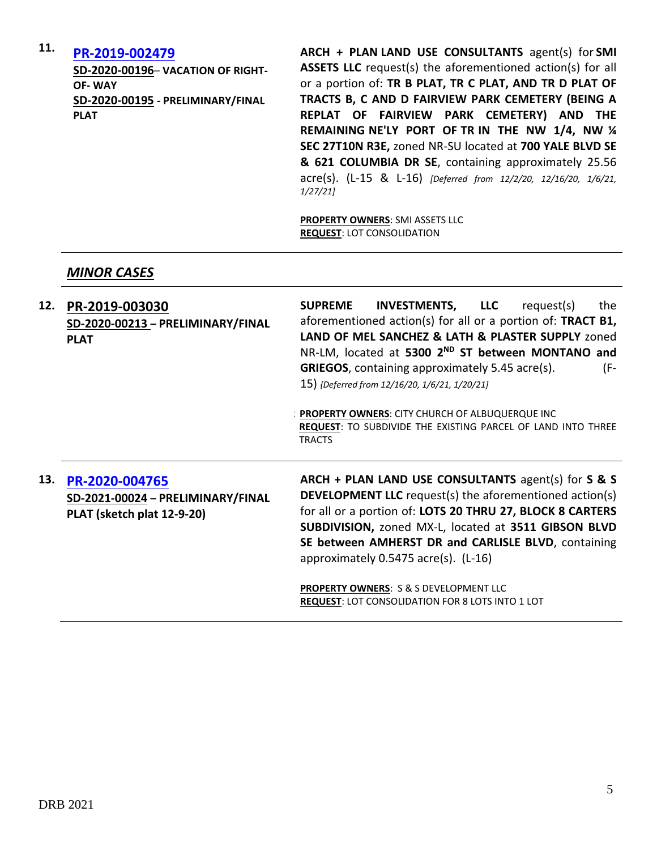# **11. [PR-2019-002479](http://data.cabq.gov/government/planning/DRB/PR-2019-002479/DRB%20Submittals/)**

**SD-2020-00196**– **VACATION OF RIGHT-OF- WAY SD-2020-00195 - PRELIMINARY/FINAL PLAT**

**ARCH + PLAN LAND USE CONSULTANTS** agent(s) for **SMI ASSETS LLC** request(s) the aforementioned action(s) for all or a portion of: **TR B PLAT, TR C PLAT, AND TR D PLAT OF TRACTS B, C AND D FAIRVIEW PARK CEMETERY (BEING A REPLAT OF FAIRVIEW PARK CEMETERY) AND THE REMAINING NE'LY PORT OF TR IN THE NW 1/4, NW ¼ SEC 27T10N R3E,** zoned NR-SU located at **700 YALE BLVD SE & 621 COLUMBIA DR SE**, containing approximately 25.56 acre(s). (L-15 & L-16) *[Deferred from 12/2/20, 12/16/20, 1/6/21, 1/27/21]*

**PROPERTY OWNERS**: SMI ASSETS LLC **REQUEST**: LOT CONSOLIDATION

### *MINOR CASES*

| 12. | PR-2019-003030<br>SD-2020-00213 - PRELIMINARY/FINAL<br><b>PLAT</b>                | <b>LLC</b><br><b>INVESTMENTS,</b><br>request(s)<br><b>SUPREME</b><br>the<br>aforementioned action(s) for all or a portion of: <b>TRACT B1</b> ,<br>LAND OF MEL SANCHEZ & LATH & PLASTER SUPPLY zoned<br>NR-LM, located at 5300 2ND ST between MONTANO and<br><b>GRIEGOS</b> , containing approximately 5.45 acre(s).<br>(F-<br>15) {Deferred from 12/16/20, 1/6/21, 1/20/21] |
|-----|-----------------------------------------------------------------------------------|------------------------------------------------------------------------------------------------------------------------------------------------------------------------------------------------------------------------------------------------------------------------------------------------------------------------------------------------------------------------------|
|     |                                                                                   | <b>PROPERTY OWNERS: CITY CHURCH OF ALBUQUERQUE INC</b><br><b>REQUEST: TO SUBDIVIDE THE EXISTING PARCEL OF LAND INTO THREE</b><br><b>TRACTS</b>                                                                                                                                                                                                                               |
| 13. | PR-2020-004765<br>SD-2021-00024 - PRELIMINARY/FINAL<br>PLAT (sketch plat 12-9-20) | ARCH + PLAN LAND USE CONSULTANTS agent(s) for S & S<br><b>DEVELOPMENT LLC</b> request(s) the aforementioned action(s)<br>for all or a portion of: LOTS 20 THRU 27, BLOCK 8 CARTERS<br>SUBDIVISION, zoned MX-L, located at 3511 GIBSON BLVD<br>SE between AMHERST DR and CARLISLE BLVD, containing<br>approximately $0.5475$ acre(s). (L-16)                                  |
|     |                                                                                   | <b>PROPERTY OWNERS: S &amp; S DEVELOPMENT LLC</b><br><b>REQUEST: LOT CONSOLIDATION FOR 8 LOTS INTO 1 LOT</b>                                                                                                                                                                                                                                                                 |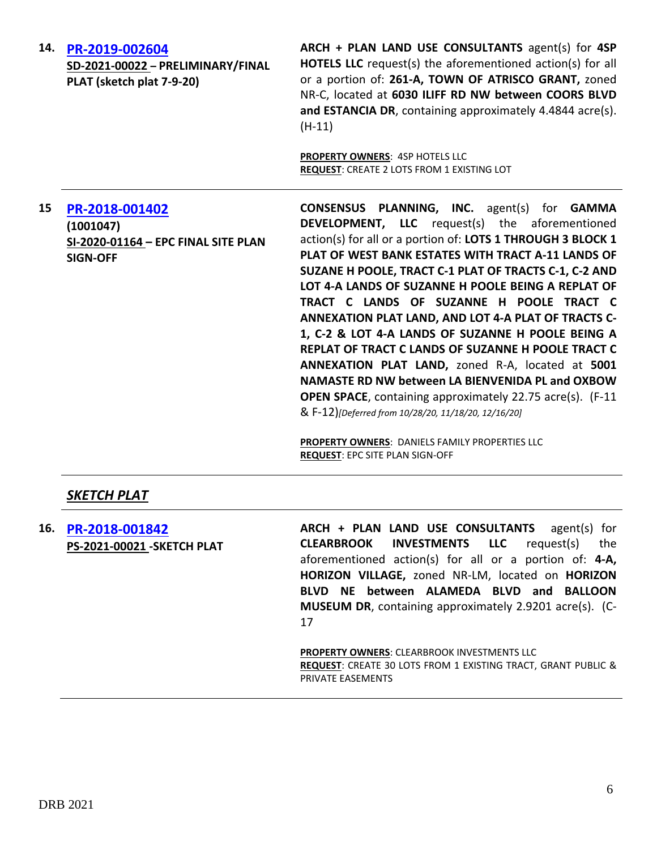| 14. | PR-2019-002604<br>SD-2021-00022 - PRELIMINARY/FINAL<br>PLAT (sketch plat 7-9-20)      | ARCH + PLAN LAND USE CONSULTANTS agent(s) for 4SP<br><b>HOTELS LLC</b> request(s) the aforementioned action(s) for all<br>or a portion of: 261-A, TOWN OF ATRISCO GRANT, zoned<br>NR-C, located at 6030 ILIFF RD NW between COORS BLVD<br>and ESTANCIA DR, containing approximately 4.4844 acre(s).<br>$(H-11)$<br>PROPERTY OWNERS: 4SP HOTELS LLC<br>REQUEST: CREATE 2 LOTS FROM 1 EXISTING LOT                                                                                                                                                                                                                                                                                                                                                                                                         |
|-----|---------------------------------------------------------------------------------------|----------------------------------------------------------------------------------------------------------------------------------------------------------------------------------------------------------------------------------------------------------------------------------------------------------------------------------------------------------------------------------------------------------------------------------------------------------------------------------------------------------------------------------------------------------------------------------------------------------------------------------------------------------------------------------------------------------------------------------------------------------------------------------------------------------|
| 15  | PR-2018-001402<br>(1001047)<br>SI-2020-01164 - EPC FINAL SITE PLAN<br><b>SIGN-OFF</b> | <b>CONSENSUS PLANNING, INC.</b> agent(s) for <b>GAMMA</b><br><b>DEVELOPMENT, LLC</b> request(s) the aforementioned<br>action(s) for all or a portion of: LOTS 1 THROUGH 3 BLOCK 1<br>PLAT OF WEST BANK ESTATES WITH TRACT A-11 LANDS OF<br>SUZANE H POOLE, TRACT C-1 PLAT OF TRACTS C-1, C-2 AND<br>LOT 4-A LANDS OF SUZANNE H POOLE BEING A REPLAT OF<br>TRACT C LANDS OF SUZANNE H POOLE TRACT C<br>ANNEXATION PLAT LAND, AND LOT 4-A PLAT OF TRACTS C-<br>1, C-2 & LOT 4-A LANDS OF SUZANNE H POOLE BEING A<br>REPLAT OF TRACT C LANDS OF SUZANNE H POOLE TRACT C<br>ANNEXATION PLAT LAND, zoned R-A, located at 5001<br>NAMASTE RD NW between LA BIENVENIDA PL and OXBOW<br><b>OPEN SPACE</b> , containing approximately 22.75 acre(s). (F-11<br>& F-12)[Deferred from 10/28/20, 11/18/20, 12/16/20] |

**PROPERTY OWNERS**: DANIELS FAMILY PROPERTIES LLC **REQUEST**: EPC SITE PLAN SIGN-OFF

# *SKETCH PLAT*

**16. [PR-2018-001842](http://data.cabq.gov/government/planning/DRB/PR-2019-001842/DRB%20Submittals/) PS-2021-00021 -SKETCH PLAT ARCH + PLAN LAND USE CONSULTANTS** agent(s) for **CLEARBROOK INVESTMENTS LLC** request(s) the aforementioned action(s) for all or a portion of: **4-A, HORIZON VILLAGE,** zoned NR-LM, located on **HORIZON BLVD NE between ALAMEDA BLVD and BALLOON MUSEUM DR**, containing approximately 2.9201 acre(s). (C-

17

**PROPERTY OWNERS**: CLEARBROOK INVESTMENTS LLC **REQUEST**: CREATE 30 LOTS FROM 1 EXISTING TRACT, GRANT PUBLIC & PRIVATE EASEMENTS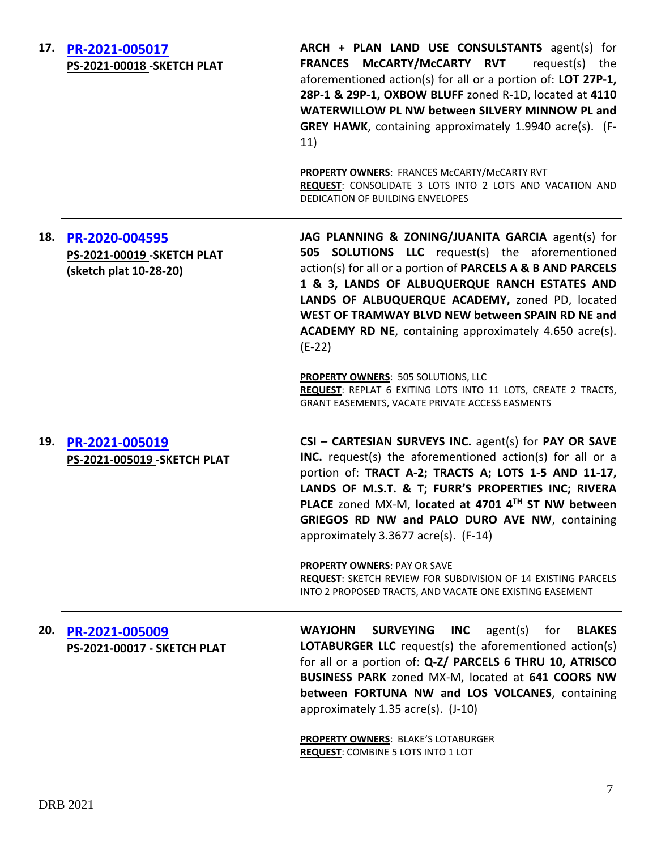| 17. | PR-2021-005017<br>PS-2021-00018 - SKETCH PLAT                                | ARCH + PLAN LAND USE CONSULSTANTS agent(s) for<br>FRANCES McCARTY/McCARTY RVT<br>request(s) the<br>aforementioned action(s) for all or a portion of: LOT 27P-1,<br>28P-1 & 29P-1, OXBOW BLUFF zoned R-1D, located at 4110<br>WATERWILLOW PL NW between SILVERY MINNOW PL and<br><b>GREY HAWK, containing approximately 1.9940 acre(s).</b> (F-<br>11)                                                                                                      |
|-----|------------------------------------------------------------------------------|------------------------------------------------------------------------------------------------------------------------------------------------------------------------------------------------------------------------------------------------------------------------------------------------------------------------------------------------------------------------------------------------------------------------------------------------------------|
|     |                                                                              | PROPERTY OWNERS: FRANCES McCARTY/McCARTY RVT<br>REQUEST: CONSOLIDATE 3 LOTS INTO 2 LOTS AND VACATION AND<br>DEDICATION OF BUILDING ENVELOPES                                                                                                                                                                                                                                                                                                               |
| 18. | PR-2020-004595<br><b>PS-2021-00019-SKETCH PLAT</b><br>(sketch plat 10-28-20) | JAG PLANNING & ZONING/JUANITA GARCIA agent(s) for<br>505 SOLUTIONS LLC request(s) the aforementioned<br>action(s) for all or a portion of PARCELS A & B AND PARCELS<br>1 & 3, LANDS OF ALBUQUERQUE RANCH ESTATES AND<br>LANDS OF ALBUQUERQUE ACADEMY, zoned PD, located<br>WEST OF TRAMWAY BLVD NEW between SPAIN RD NE and<br><b>ACADEMY RD NE</b> , containing approximately 4.650 acre(s).<br>$(E-22)$                                                  |
|     |                                                                              | <b>PROPERTY OWNERS: 505 SOLUTIONS, LLC</b><br>REQUEST: REPLAT 6 EXITING LOTS INTO 11 LOTS, CREATE 2 TRACTS,<br>GRANT EASEMENTS, VACATE PRIVATE ACCESS EASMENTS                                                                                                                                                                                                                                                                                             |
| 19. | PR-2021-005019<br>PS-2021-005019 - SKETCH PLAT                               | CSI - CARTESIAN SURVEYS INC. agent(s) for PAY OR SAVE<br>INC. request(s) the aforementioned action(s) for all or a<br>portion of: TRACT A-2; TRACTS A; LOTS 1-5 AND 11-17,<br>LANDS OF M.S.T. & T; FURR'S PROPERTIES INC; RIVERA<br>PLACE zoned MX-M, located at 4701 4TH ST NW between<br>GRIEGOS RD NW and PALO DURO AVE NW, containing<br>approximately $3.3677$ acre(s). (F-14)                                                                        |
|     |                                                                              | <b>PROPERTY OWNERS: PAY OR SAVE</b><br>REQUEST: SKETCH REVIEW FOR SUBDIVISION OF 14 EXISTING PARCELS<br>INTO 2 PROPOSED TRACTS, AND VACATE ONE EXISTING EASEMENT                                                                                                                                                                                                                                                                                           |
| 20. | PR-2021-005009<br>PS-2021-00017 - SKETCH PLAT                                | <b>SURVEYING</b><br><b>WAYJOHN</b><br><b>INC</b><br>agent(s)<br>for<br><b>BLAKES</b><br><b>LOTABURGER LLC</b> request(s) the aforementioned action(s)<br>for all or a portion of: Q-Z/ PARCELS 6 THRU 10, ATRISCO<br>BUSINESS PARK zoned MX-M, located at 641 COORS NW<br>between FORTUNA NW and LOS VOLCANES, containing<br>approximately 1.35 acre(s). (J-10)<br><b>PROPERTY OWNERS: BLAKE'S LOTABURGER</b><br><b>REQUEST: COMBINE 5 LOTS INTO 1 LOT</b> |